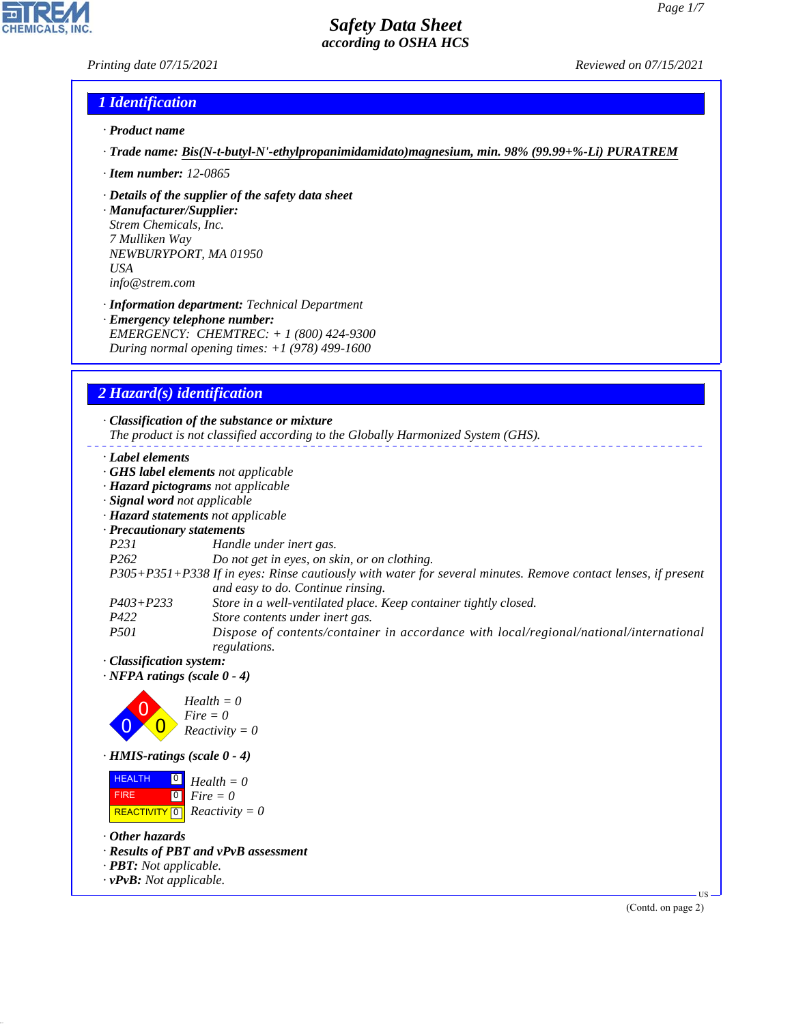# *Printing date 07/15/2021 Reviewed on 07/15/2021*

## *1 Identification*

- *· Product name*
- *· Trade name: Bis(N-t-butyl-N'-ethylpropanimidamidato)magnesium, min. 98% (99.99+%-Li) PURATREM*
- *· Item number: 12-0865*
- *· Details of the supplier of the safety data sheet*

*· Manufacturer/Supplier: Strem Chemicals, Inc. 7 Mulliken Way NEWBURYPORT, MA 01950 USA info@strem.com*

*· Information department: Technical Department · Emergency telephone number: EMERGENCY: CHEMTREC: + 1 (800) 424-9300 During normal opening times: +1 (978) 499-1600*

# *2 Hazard(s) identification*

*· Classification of the substance or mixture The product is not classified according to the Globally Harmonized System (GHS). · Label elements · GHS label elements not applicable · Hazard pictograms not applicable · Signal word not applicable · Hazard statements not applicable · Precautionary statements P231 Handle under inert gas. P262 Do not get in eyes, on skin, or on clothing. P305+P351+P338 If in eyes: Rinse cautiously with water for several minutes. Remove contact lenses, if present and easy to do. Continue rinsing. P403+P233 Store in a well-ventilated place. Keep container tightly closed. P422 Store contents under inert gas. P501 Dispose of contents/container in accordance with local/regional/national/international regulations.*

*· Classification system:*

*· NFPA ratings (scale 0 - 4)*



*· HMIS-ratings (scale 0 - 4)*

| <b>HEALTH</b> | $\overline{\mathbf{0}}$ Health = 0                          |
|---------------|-------------------------------------------------------------|
| <b>FIRE</b>   | $\begin{bmatrix} \bullet \\ \bullet \end{bmatrix}$ Fire = 0 |
|               | <b>REACTIVITY</b> $\boxed{0}$ <i>Reactivity</i> = 0         |

*· Other hazards*

44.1.1

- *· Results of PBT and vPvB assessment*
- *· PBT: Not applicable.*
- *· vPvB: Not applicable.*

(Contd. on page 2)

US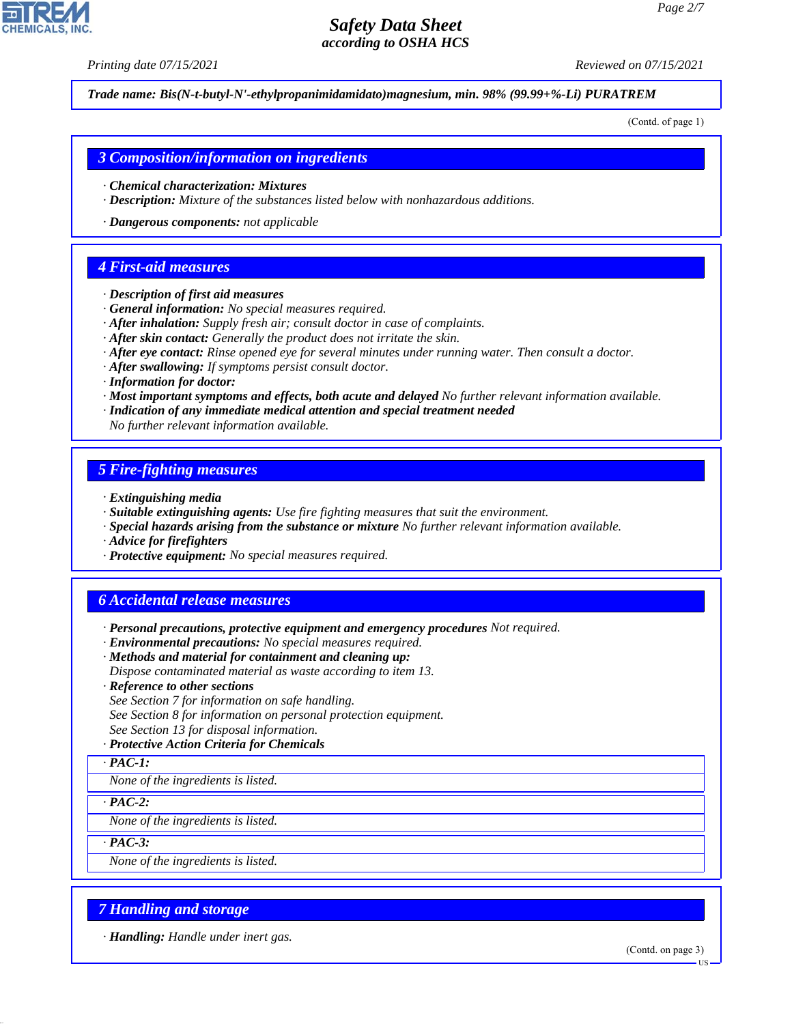*Printing date 07/15/2021 Reviewed on 07/15/2021*

*Trade name: Bis(N-t-butyl-N'-ethylpropanimidamidato)magnesium, min. 98% (99.99+%-Li) PURATREM*

(Contd. of page 1)

#### *3 Composition/information on ingredients*

- *· Chemical characterization: Mixtures*
- *· Description: Mixture of the substances listed below with nonhazardous additions.*
- *· Dangerous components: not applicable*

#### *4 First-aid measures*

- *· Description of first aid measures*
- *· General information: No special measures required.*
- *· After inhalation: Supply fresh air; consult doctor in case of complaints.*
- *· After skin contact: Generally the product does not irritate the skin.*
- *· After eye contact: Rinse opened eye for several minutes under running water. Then consult a doctor.*
- *· After swallowing: If symptoms persist consult doctor.*
- *· Information for doctor:*
- *· Most important symptoms and effects, both acute and delayed No further relevant information available.*
- *· Indication of any immediate medical attention and special treatment needed*
- *No further relevant information available.*

### *5 Fire-fighting measures*

- *· Extinguishing media*
- *· Suitable extinguishing agents: Use fire fighting measures that suit the environment.*
- *· Special hazards arising from the substance or mixture No further relevant information available.*
- *· Advice for firefighters*
- *· Protective equipment: No special measures required.*

# *6 Accidental release measures*

- *· Personal precautions, protective equipment and emergency procedures Not required.*
- *· Environmental precautions: No special measures required.*
- *· Methods and material for containment and cleaning up:*
- *Dispose contaminated material as waste according to item 13.*
- *· Reference to other sections*
- *See Section 7 for information on safe handling.*
- *See Section 8 for information on personal protection equipment.*
- *See Section 13 for disposal information.*

#### *· Protective Action Criteria for Chemicals*

*· PAC-1:*

*None of the ingredients is listed.*

*· PAC-2:*

*None of the ingredients is listed.*

*· PAC-3:*

44.1.1

*None of the ingredients is listed.*

# *7 Handling and storage*

*· Handling: Handle under inert gas.*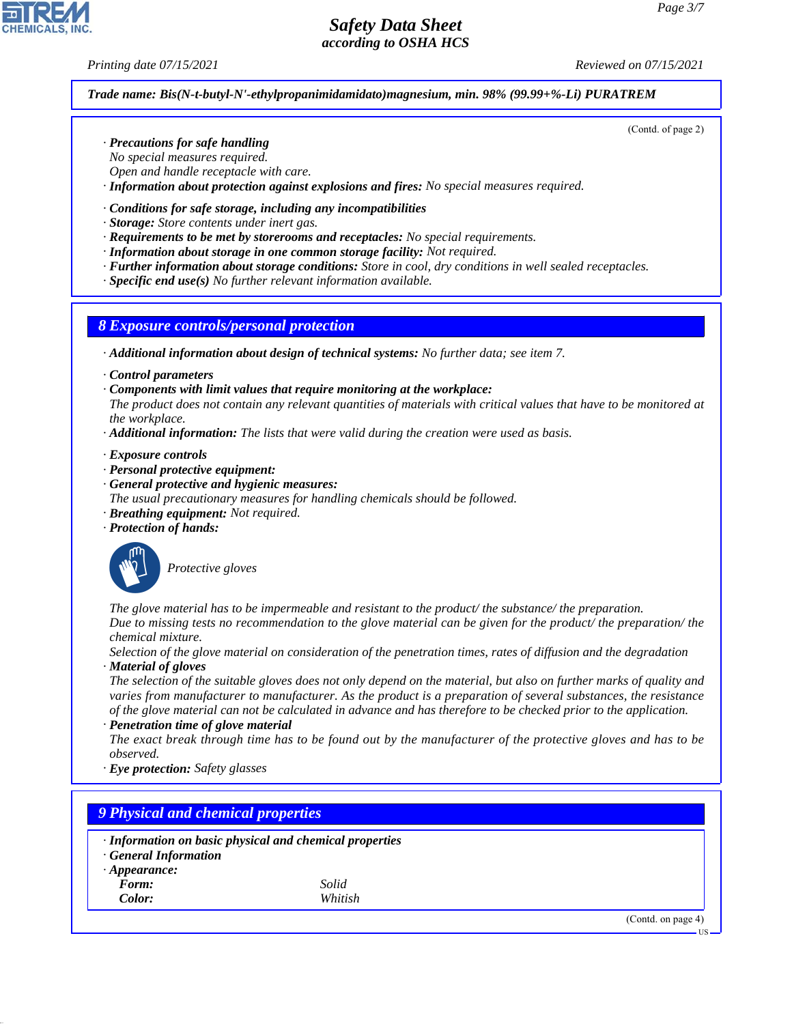#### *Printing date 07/15/2021 Reviewed on 07/15/2021*

(Contd. of page 2)

#### *Trade name: Bis(N-t-butyl-N'-ethylpropanimidamidato)magnesium, min. 98% (99.99+%-Li) PURATREM*

- *· Precautions for safe handling*
- *No special measures required.*
- *Open and handle receptacle with care.*
- *· Information about protection against explosions and fires: No special measures required.*

#### *· Conditions for safe storage, including any incompatibilities*

- *· Storage: Store contents under inert gas.*
- *· Requirements to be met by storerooms and receptacles: No special requirements.*
- *· Information about storage in one common storage facility: Not required.*
- *· Further information about storage conditions: Store in cool, dry conditions in well sealed receptacles.*
- *· Specific end use(s) No further relevant information available.*

### *8 Exposure controls/personal protection*

- *· Additional information about design of technical systems: No further data; see item 7.*
- *· Control parameters*
- *· Components with limit values that require monitoring at the workplace:*

*The product does not contain any relevant quantities of materials with critical values that have to be monitored at the workplace.*

*· Additional information: The lists that were valid during the creation were used as basis.*

*· Exposure controls*

- *· Personal protective equipment:*
- *· General protective and hygienic measures:*
- *The usual precautionary measures for handling chemicals should be followed.*
- *· Breathing equipment: Not required.*
- *· Protection of hands:*



\_S*Protective gloves*

*The glove material has to be impermeable and resistant to the product/ the substance/ the preparation. Due to missing tests no recommendation to the glove material can be given for the product/ the preparation/ the*

*chemical mixture.*

*Selection of the glove material on consideration of the penetration times, rates of diffusion and the degradation · Material of gloves*

*The selection of the suitable gloves does not only depend on the material, but also on further marks of quality and varies from manufacturer to manufacturer. As the product is a preparation of several substances, the resistance of the glove material can not be calculated in advance and has therefore to be checked prior to the application. · Penetration time of glove material*

*The exact break through time has to be found out by the manufacturer of the protective gloves and has to be observed.*

*· Eye protection: Safety glasses*

# *9 Physical and chemical properties*

- *· Information on basic physical and chemical properties*
- *· General Information*
- *· Appearance:*
- *Form: Solid*

44.1.1

*Color: Whitish*

(Contd. on page 4)

US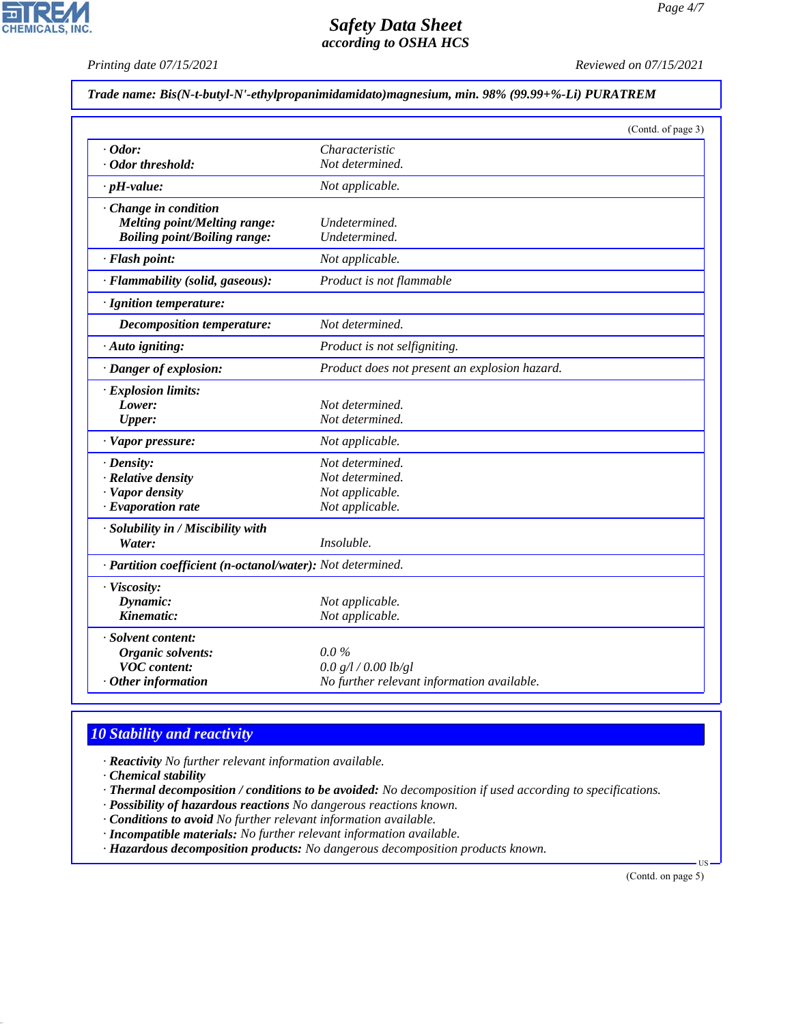*Printing date 07/15/2021 Reviewed on 07/15/2021*

# *Trade name: Bis(N-t-butyl-N'-ethylpropanimidamidato)magnesium, min. 98% (99.99+%-Li) PURATREM*

|                                                            |                                               | (Contd. of page 3) |
|------------------------------------------------------------|-----------------------------------------------|--------------------|
| $\cdot$ Odor:                                              | Characteristic                                |                    |
| · Odor threshold:                                          | Not determined.                               |                    |
| $\cdot$ pH-value:                                          | Not applicable.                               |                    |
| $\cdot$ Change in condition                                |                                               |                    |
| Melting point/Melting range:                               | Undetermined.                                 |                    |
| <b>Boiling point/Boiling range:</b>                        | Undetermined.                                 |                    |
| · Flash point:                                             | Not applicable.                               |                    |
| · Flammability (solid, gaseous):                           | Product is not flammable                      |                    |
| · Ignition temperature:                                    |                                               |                    |
| <b>Decomposition temperature:</b>                          | Not determined.                               |                    |
| · Auto igniting:                                           | Product is not selfigniting.                  |                    |
| · Danger of explosion:                                     | Product does not present an explosion hazard. |                    |
| · Explosion limits:                                        |                                               |                    |
| Lower:                                                     | Not determined.                               |                    |
| <b>Upper:</b>                                              | Not determined.                               |                    |
| · Vapor pressure:                                          | Not applicable.                               |                    |
| $\cdot$ Density:                                           | Not determined.                               |                    |
| · Relative density                                         | Not determined.                               |                    |
| · Vapor density                                            | Not applicable.                               |                    |
| $\cdot$ Evaporation rate                                   | Not applicable.                               |                    |
| · Solubility in / Miscibility with                         |                                               |                    |
| Water:                                                     | Insoluble.                                    |                    |
| · Partition coefficient (n-octanol/water): Not determined. |                                               |                    |
| · Viscosity:                                               |                                               |                    |
| Dynamic:                                                   | Not applicable.                               |                    |
| Kinematic:                                                 | Not applicable.                               |                    |
| · Solvent content:                                         |                                               |                    |
| Organic solvents:                                          | $0.0\%$                                       |                    |
| <b>VOC</b> content:                                        | 0.0 g/l / 0.00 lb/gl                          |                    |
| $\cdot$ Other information                                  | No further relevant information available.    |                    |

## *10 Stability and reactivity*

*· Reactivity No further relevant information available.*

*· Chemical stability*

44.1.1

*· Thermal decomposition / conditions to be avoided: No decomposition if used according to specifications.*

- *· Possibility of hazardous reactions No dangerous reactions known.*
- *· Conditions to avoid No further relevant information available.*
- *· Incompatible materials: No further relevant information available.*

*· Hazardous decomposition products: No dangerous decomposition products known.*

(Contd. on page 5)

US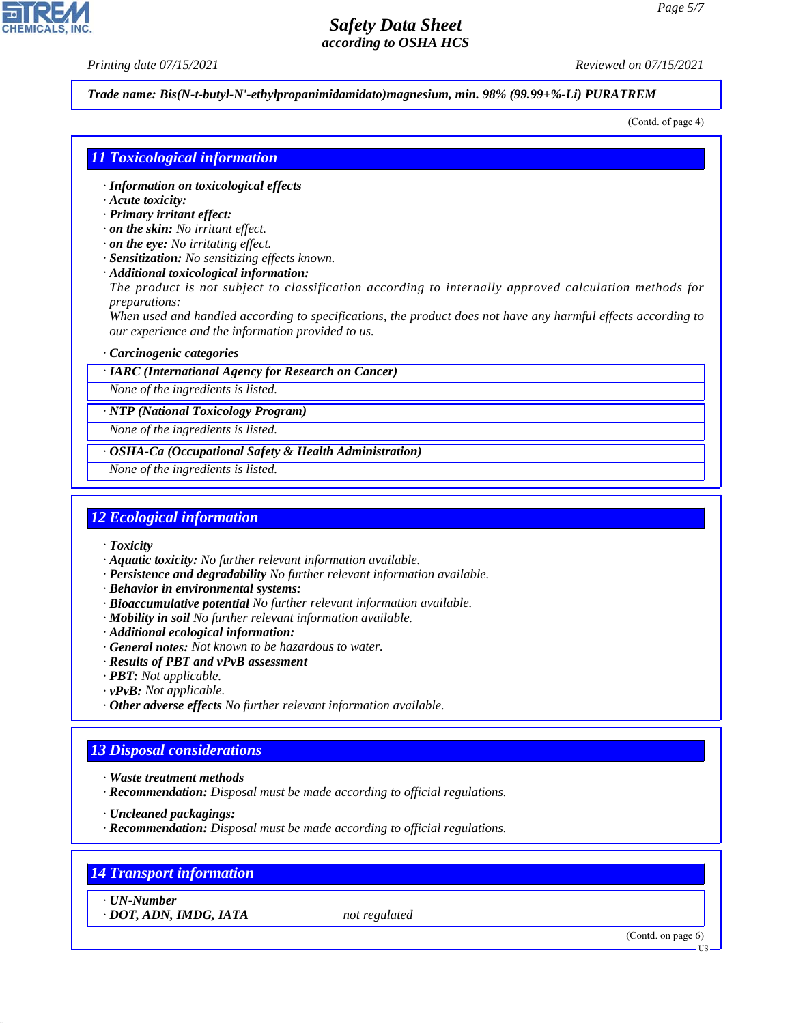*Printing date 07/15/2021 Reviewed on 07/15/2021*

*Trade name: Bis(N-t-butyl-N'-ethylpropanimidamidato)magnesium, min. 98% (99.99+%-Li) PURATREM*

(Contd. of page 4)

## *11 Toxicological information*

- *· Information on toxicological effects*
- *· Acute toxicity:*
- *· Primary irritant effect:*
- *· on the skin: No irritant effect.*
- *· on the eye: No irritating effect.*
- *· Sensitization: No sensitizing effects known.*
- *· Additional toxicological information:*

*The product is not subject to classification according to internally approved calculation methods for preparations:*

*When used and handled according to specifications, the product does not have any harmful effects according to our experience and the information provided to us.*

#### *· Carcinogenic categories*

*· IARC (International Agency for Research on Cancer)*

*None of the ingredients is listed.*

*· NTP (National Toxicology Program)*

*None of the ingredients is listed.*

*· OSHA-Ca (Occupational Safety & Health Administration)*

*None of the ingredients is listed.*

## *12 Ecological information*

- *· Toxicity*
- *· Aquatic toxicity: No further relevant information available.*
- *· Persistence and degradability No further relevant information available.*
- *· Behavior in environmental systems:*
- *· Bioaccumulative potential No further relevant information available.*
- *· Mobility in soil No further relevant information available.*
- *· Additional ecological information:*
- *· General notes: Not known to be hazardous to water.*
- *· Results of PBT and vPvB assessment*
- *· PBT: Not applicable.*
- *· vPvB: Not applicable.*
- *· Other adverse effects No further relevant information available.*

# *13 Disposal considerations*

- *· Waste treatment methods*
- *· Recommendation: Disposal must be made according to official regulations.*
- *· Uncleaned packagings:*
- *· Recommendation: Disposal must be made according to official regulations.*

# *14 Transport information*

*· UN-Number*

44.1.1

*· DOT, ADN, IMDG, IATA not regulated*

(Contd. on page 6)



US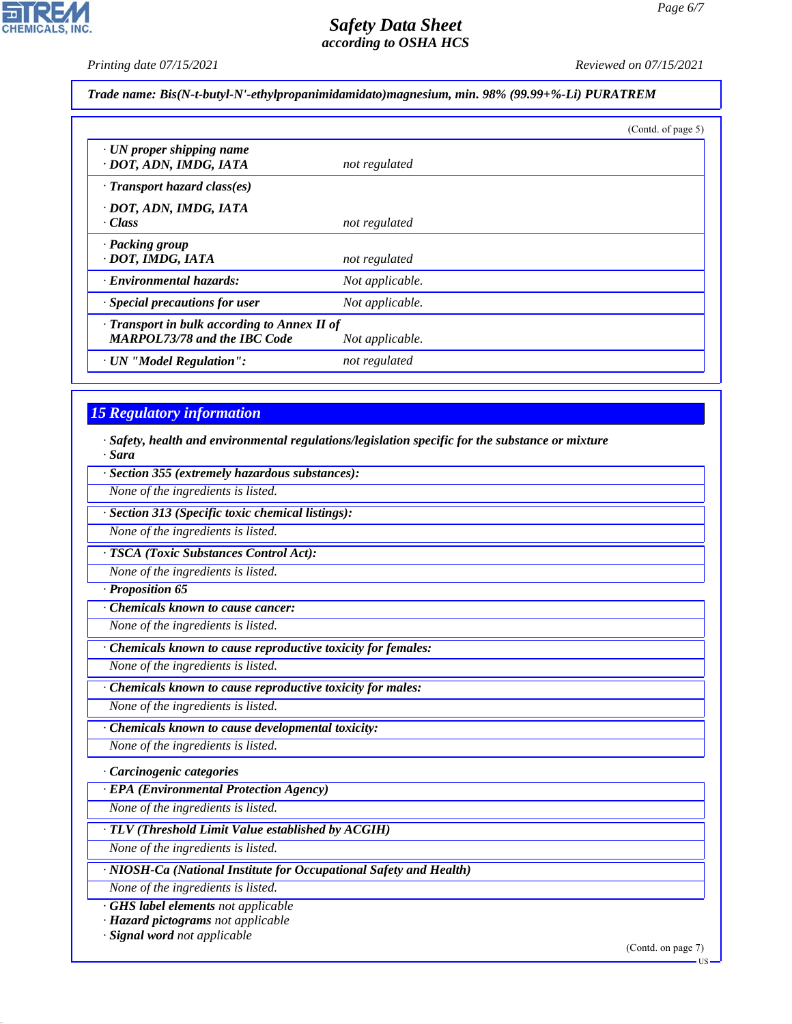**CHEMICALS, INC.** 

*Printing date 07/15/2021 Reviewed on 07/15/2021*

*Trade name: Bis(N-t-butyl-N'-ethylpropanimidamidato)magnesium, min. 98% (99.99+%-Li) PURATREM*

|                                                                                     |                 | (Contd. of page 5) |
|-------------------------------------------------------------------------------------|-----------------|--------------------|
| · UN proper shipping name<br>· DOT, ADN, IMDG, IATA                                 | not regulated   |                    |
| · Transport hazard class(es)                                                        |                 |                    |
| · DOT, ADN, IMDG, IATA<br>· Class                                                   | not regulated   |                    |
| · Packing group<br>· DOT, IMDG, IATA                                                | not regulated   |                    |
| · Environmental hazards:                                                            | Not applicable. |                    |
| · Special precautions for user                                                      | Not applicable. |                    |
| · Transport in bulk according to Annex II of<br><b>MARPOL73/78 and the IBC Code</b> | Not applicable. |                    |
| · UN "Model Regulation":                                                            | not regulated   |                    |

# *15 Regulatory information*

*· Safety, health and environmental regulations/legislation specific for the substance or mixture · Sara*

*· Section 355 (extremely hazardous substances):*

*None of the ingredients is listed.*

*· Section 313 (Specific toxic chemical listings):*

*None of the ingredients is listed.*

*· TSCA (Toxic Substances Control Act):*

*None of the ingredients is listed.*

*· Proposition 65*

*· Chemicals known to cause cancer:*

*None of the ingredients is listed.*

*· Chemicals known to cause reproductive toxicity for females:*

*None of the ingredients is listed.*

*· Chemicals known to cause reproductive toxicity for males:*

*None of the ingredients is listed.*

*· Chemicals known to cause developmental toxicity:*

*None of the ingredients is listed.*

*· Carcinogenic categories*

*· EPA (Environmental Protection Agency)*

*None of the ingredients is listed.*

*· TLV (Threshold Limit Value established by ACGIH)*

*None of the ingredients is listed.*

*· NIOSH-Ca (National Institute for Occupational Safety and Health)*

*None of the ingredients is listed.*

*· GHS label elements not applicable*

*· Hazard pictograms not applicable*

*· Signal word not applicable*

44.1.1

(Contd. on page 7)

**HS**